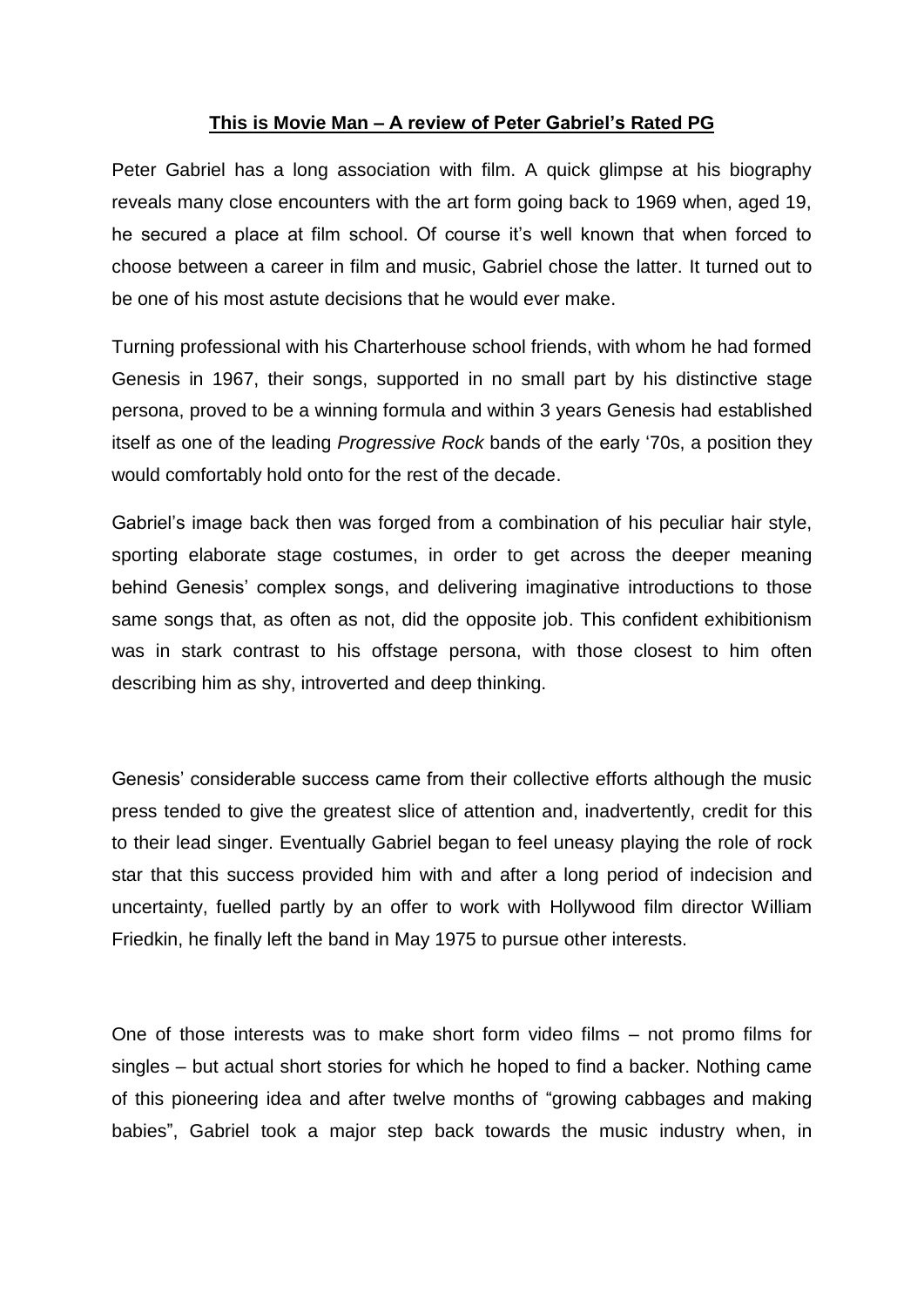## **This is Movie Man – A review of Peter Gabriel's Rated PG**

Peter Gabriel has a long association with film. A quick glimpse at his biography reveals many close encounters with the art form going back to 1969 when, aged 19, he secured a place at film school. Of course it's well known that when forced to choose between a career in film and music, Gabriel chose the latter. It turned out to be one of his most astute decisions that he would ever make.

Turning professional with his Charterhouse school friends, with whom he had formed Genesis in 1967, their songs, supported in no small part by his distinctive stage persona, proved to be a winning formula and within 3 years Genesis had established itself as one of the leading *Progressive Rock* bands of the early '70s, a position they would comfortably hold onto for the rest of the decade.

Gabriel's image back then was forged from a combination of his peculiar hair style, sporting elaborate stage costumes, in order to get across the deeper meaning behind Genesis' complex songs, and delivering imaginative introductions to those same songs that, as often as not, did the opposite job. This confident exhibitionism was in stark contrast to his offstage persona, with those closest to him often describing him as shy, introverted and deep thinking.

Genesis' considerable success came from their collective efforts although the music press tended to give the greatest slice of attention and, inadvertently, credit for this to their lead singer. Eventually Gabriel began to feel uneasy playing the role of rock star that this success provided him with and after a long period of indecision and uncertainty, fuelled partly by an offer to work with Hollywood film director William Friedkin, he finally left the band in May 1975 to pursue other interests.

One of those interests was to make short form video films – not promo films for singles – but actual short stories for which he hoped to find a backer. Nothing came of this pioneering idea and after twelve months of "growing cabbages and making babies", Gabriel took a major step back towards the music industry when, in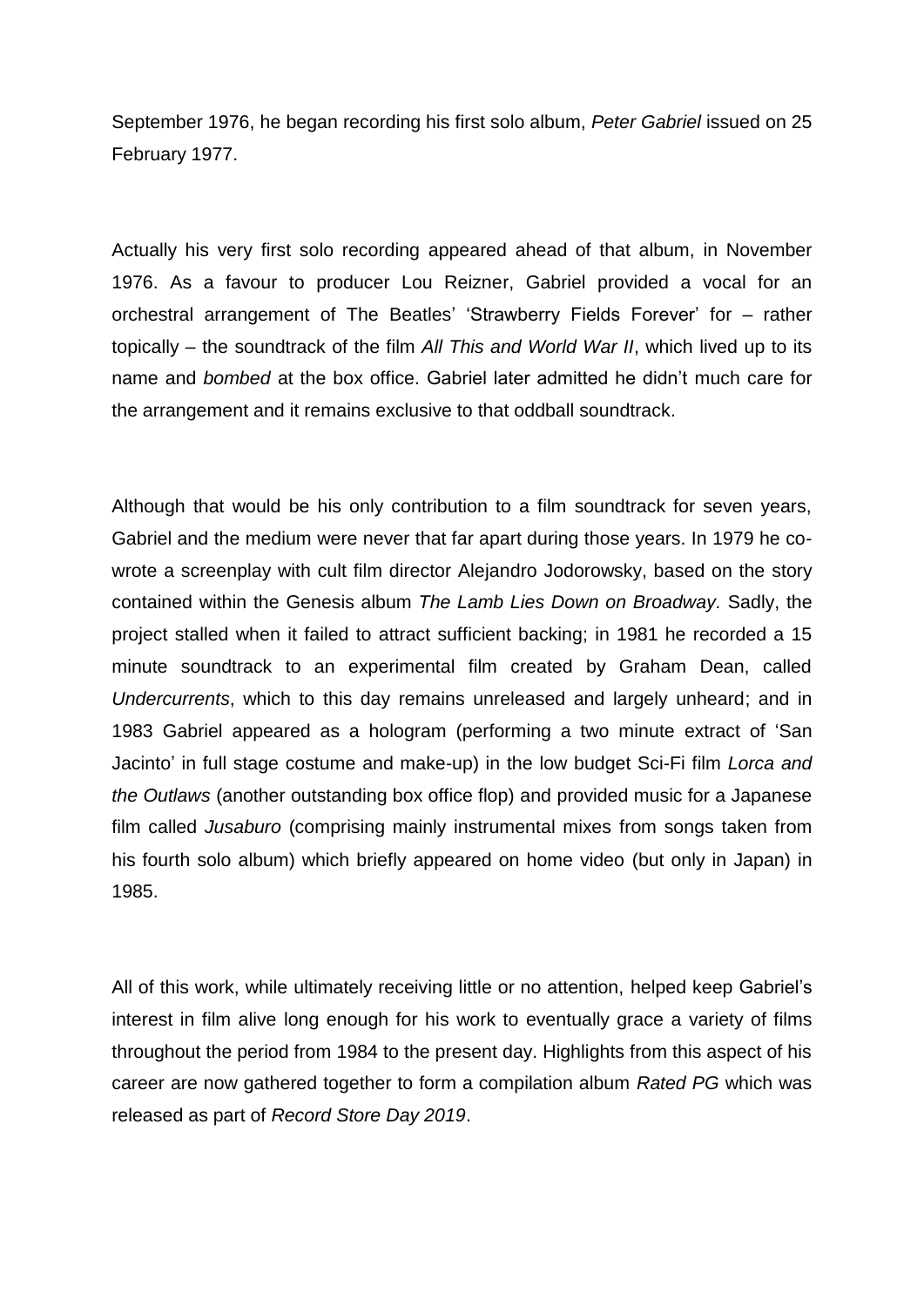September 1976, he began recording his first solo album, *Peter Gabriel* issued on 25 February 1977.

Actually his very first solo recording appeared ahead of that album, in November 1976. As a favour to producer Lou Reizner, Gabriel provided a vocal for an orchestral arrangement of The Beatles' 'Strawberry Fields Forever' for – rather topically – the soundtrack of the film *All This and World War II*, which lived up to its name and *bombed* at the box office. Gabriel later admitted he didn't much care for the arrangement and it remains exclusive to that oddball soundtrack.

Although that would be his only contribution to a film soundtrack for seven years, Gabriel and the medium were never that far apart during those years. In 1979 he cowrote a screenplay with cult film director Alejandro Jodorowsky, based on the story contained within the Genesis album *The Lamb Lies Down on Broadway.* Sadly, the project stalled when it failed to attract sufficient backing; in 1981 he recorded a 15 minute soundtrack to an experimental film created by Graham Dean, called *Undercurrents*, which to this day remains unreleased and largely unheard; and in 1983 Gabriel appeared as a hologram (performing a two minute extract of 'San Jacinto' in full stage costume and make-up) in the low budget Sci-Fi film *Lorca and the Outlaws* (another outstanding box office flop) and provided music for a Japanese film called *Jusaburo* (comprising mainly instrumental mixes from songs taken from his fourth solo album) which briefly appeared on home video (but only in Japan) in 1985.

All of this work, while ultimately receiving little or no attention, helped keep Gabriel's interest in film alive long enough for his work to eventually grace a variety of films throughout the period from 1984 to the present day. Highlights from this aspect of his career are now gathered together to form a compilation album *Rated PG* which was released as part of *Record Store Day 2019*.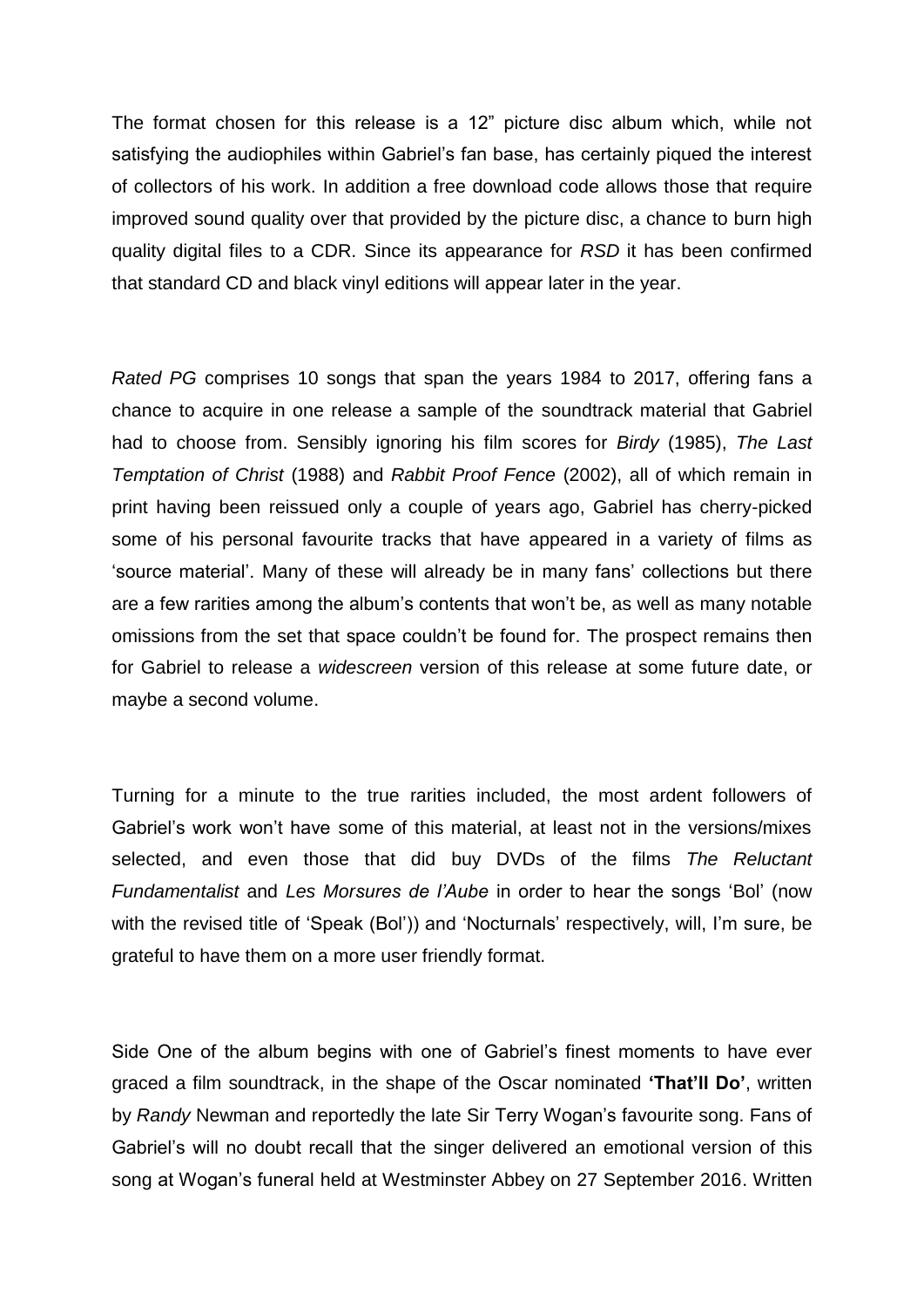The format chosen for this release is a 12" picture disc album which, while not satisfying the audiophiles within Gabriel's fan base, has certainly piqued the interest of collectors of his work. In addition a free download code allows those that require improved sound quality over that provided by the picture disc, a chance to burn high quality digital files to a CDR. Since its appearance for *RSD* it has been confirmed that standard CD and black vinyl editions will appear later in the year.

*Rated PG* comprises 10 songs that span the years 1984 to 2017, offering fans a chance to acquire in one release a sample of the soundtrack material that Gabriel had to choose from. Sensibly ignoring his film scores for *Birdy* (1985), *The Last Temptation of Christ* (1988) and *Rabbit Proof Fence* (2002), all of which remain in print having been reissued only a couple of years ago, Gabriel has cherry-picked some of his personal favourite tracks that have appeared in a variety of films as 'source material'. Many of these will already be in many fans' collections but there are a few rarities among the album's contents that won't be, as well as many notable omissions from the set that space couldn't be found for. The prospect remains then for Gabriel to release a *widescreen* version of this release at some future date, or maybe a second volume.

Turning for a minute to the true rarities included, the most ardent followers of Gabriel's work won't have some of this material, at least not in the versions/mixes selected, and even those that did buy DVDs of the films *The Reluctant Fundamentalist* and *Les Morsures de l'Aube* in order to hear the songs 'Bol' (now with the revised title of 'Speak (Bol')) and 'Nocturnals' respectively, will, I'm sure, be grateful to have them on a more user friendly format.

Side One of the album begins with one of Gabriel's finest moments to have ever graced a film soundtrack, in the shape of the Oscar nominated **'That'll Do'**, written by *Randy* Newman and reportedly the late Sir Terry Wogan's favourite song. Fans of Gabriel's will no doubt recall that the singer delivered an emotional version of this song at Wogan's funeral held at Westminster Abbey on 27 September 2016. Written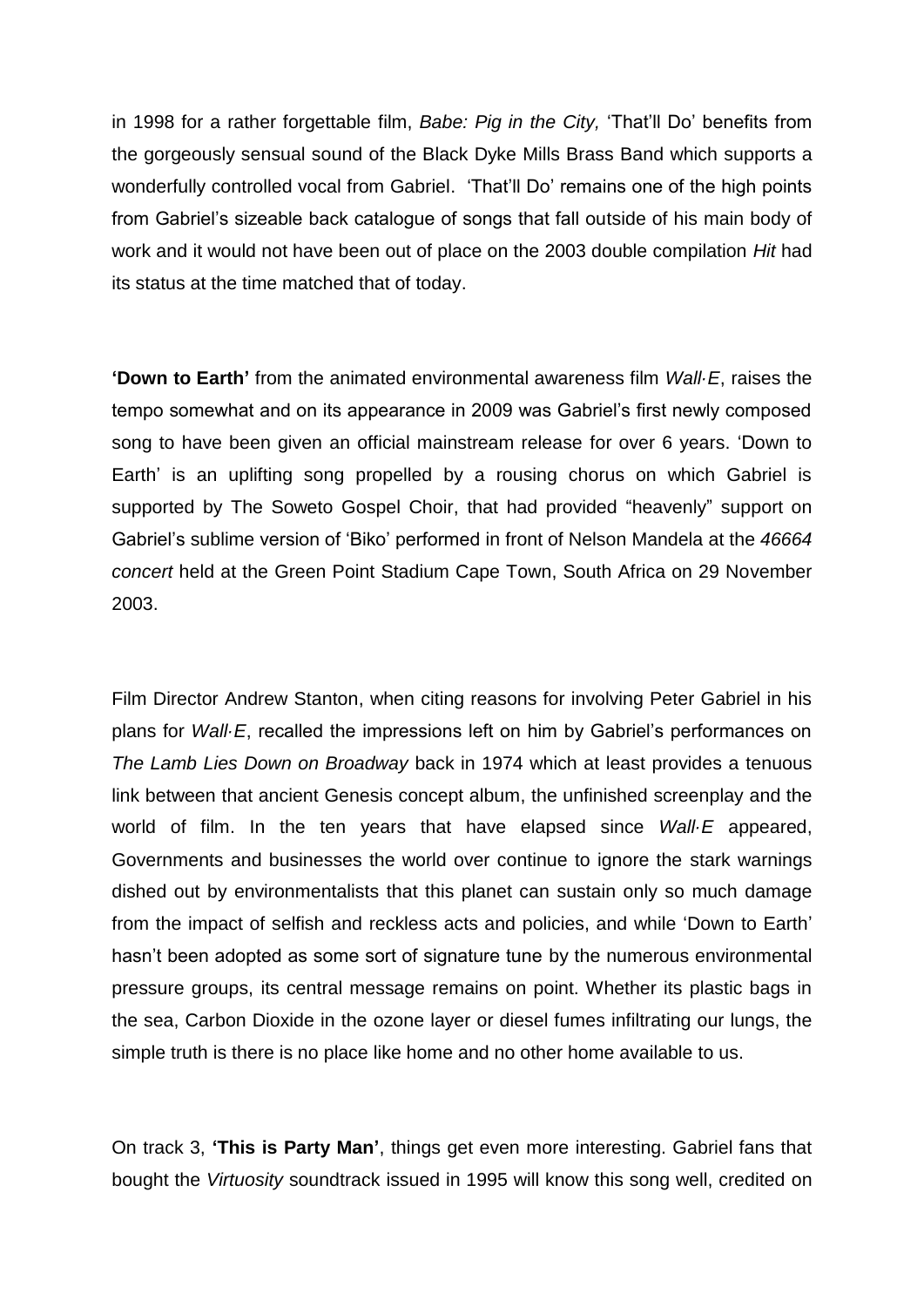in 1998 for a rather forgettable film, *Babe: Pig in the City,* 'That'll Do' benefits from the gorgeously sensual sound of the Black Dyke Mills Brass Band which supports a wonderfully controlled vocal from Gabriel. 'That'll Do' remains one of the high points from Gabriel's sizeable back catalogue of songs that fall outside of his main body of work and it would not have been out of place on the 2003 double compilation *Hit* had its status at the time matched that of today.

**'Down to Earth'** from the animated environmental awareness film *Wall·E*, raises the tempo somewhat and on its appearance in 2009 was Gabriel's first newly composed song to have been given an official mainstream release for over 6 years. 'Down to Earth' is an uplifting song propelled by a rousing chorus on which Gabriel is supported by The Soweto Gospel Choir, that had provided "heavenly" support on Gabriel's sublime version of 'Biko' performed in front of Nelson Mandela at the *46664 concert* held at the Green Point Stadium Cape Town, South Africa on 29 November 2003.

Film Director Andrew Stanton, when citing reasons for involving Peter Gabriel in his plans for *Wall·E*, recalled the impressions left on him by Gabriel's performances on *The Lamb Lies Down on Broadway* back in 1974 which at least provides a tenuous link between that ancient Genesis concept album, the unfinished screenplay and the world of film. In the ten years that have elapsed since *Wall·E* appeared, Governments and businesses the world over continue to ignore the stark warnings dished out by environmentalists that this planet can sustain only so much damage from the impact of selfish and reckless acts and policies, and while 'Down to Earth' hasn't been adopted as some sort of signature tune by the numerous environmental pressure groups, its central message remains on point. Whether its plastic bags in the sea, Carbon Dioxide in the ozone layer or diesel fumes infiltrating our lungs, the simple truth is there is no place like home and no other home available to us.

On track 3, **'This is Party Man'**, things get even more interesting. Gabriel fans that bought the *Virtuosity* soundtrack issued in 1995 will know this song well, credited on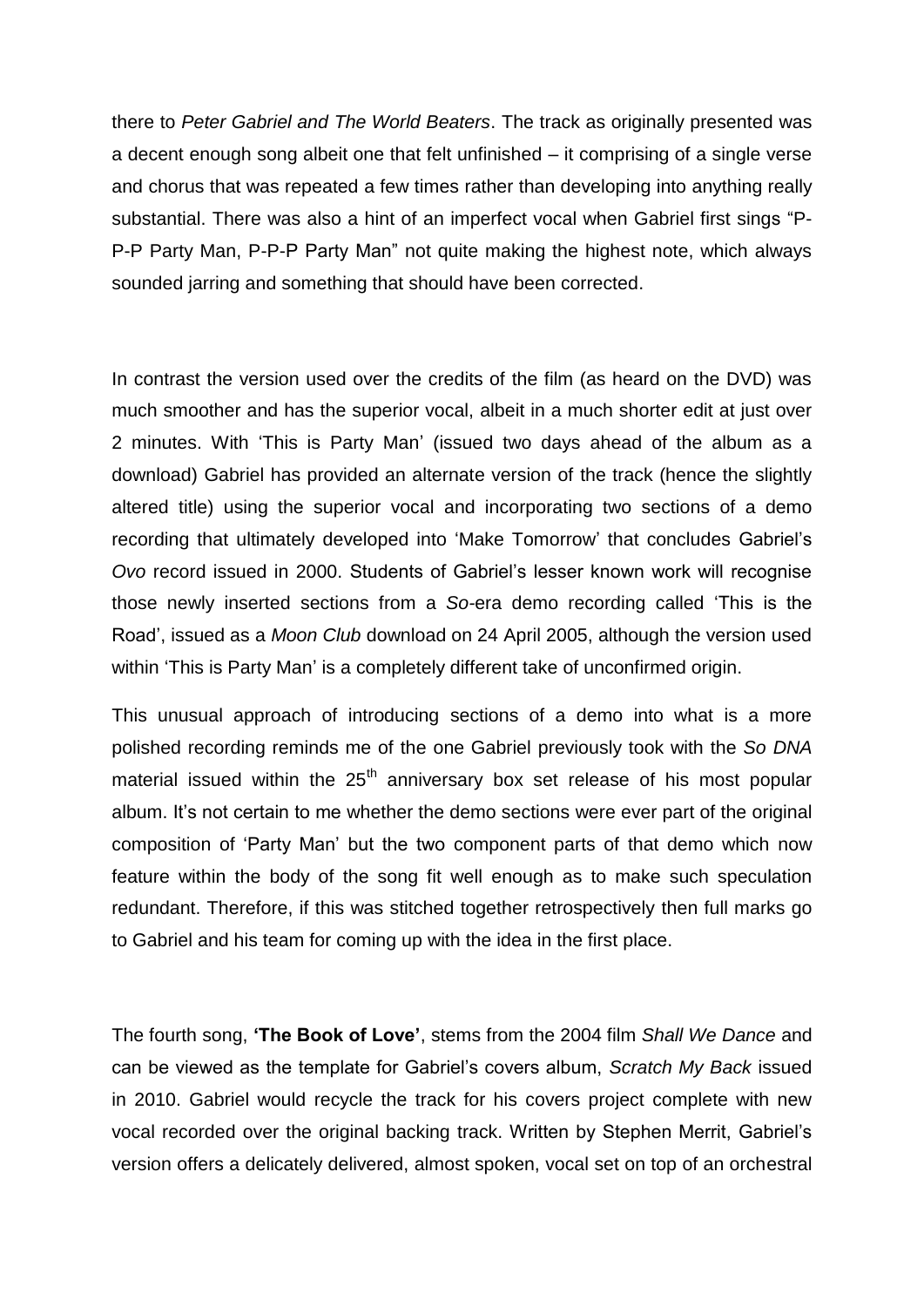there to *Peter Gabriel and The World Beaters*. The track as originally presented was a decent enough song albeit one that felt unfinished – it comprising of a single verse and chorus that was repeated a few times rather than developing into anything really substantial. There was also a hint of an imperfect vocal when Gabriel first sings "P-P-P Party Man, P-P-P Party Man" not quite making the highest note, which always sounded jarring and something that should have been corrected.

In contrast the version used over the credits of the film (as heard on the DVD) was much smoother and has the superior vocal, albeit in a much shorter edit at just over 2 minutes. With 'This is Party Man' (issued two days ahead of the album as a download) Gabriel has provided an alternate version of the track (hence the slightly altered title) using the superior vocal and incorporating two sections of a demo recording that ultimately developed into 'Make Tomorrow' that concludes Gabriel's *Ovo* record issued in 2000. Students of Gabriel's lesser known work will recognise those newly inserted sections from a *So-*era demo recording called 'This is the Road', issued as a *Moon Club* download on 24 April 2005, although the version used within 'This is Party Man' is a completely different take of unconfirmed origin.

This unusual approach of introducing sections of a demo into what is a more polished recording reminds me of the one Gabriel previously took with the *So DNA* material issued within the  $25<sup>th</sup>$  anniversary box set release of his most popular album. It's not certain to me whether the demo sections were ever part of the original composition of 'Party Man' but the two component parts of that demo which now feature within the body of the song fit well enough as to make such speculation redundant. Therefore, if this was stitched together retrospectively then full marks go to Gabriel and his team for coming up with the idea in the first place.

The fourth song, **'The Book of Love'**, stems from the 2004 film *Shall We Dance* and can be viewed as the template for Gabriel's covers album, *Scratch My Back* issued in 2010. Gabriel would recycle the track for his covers project complete with new vocal recorded over the original backing track. Written by Stephen Merrit, Gabriel's version offers a delicately delivered, almost spoken, vocal set on top of an orchestral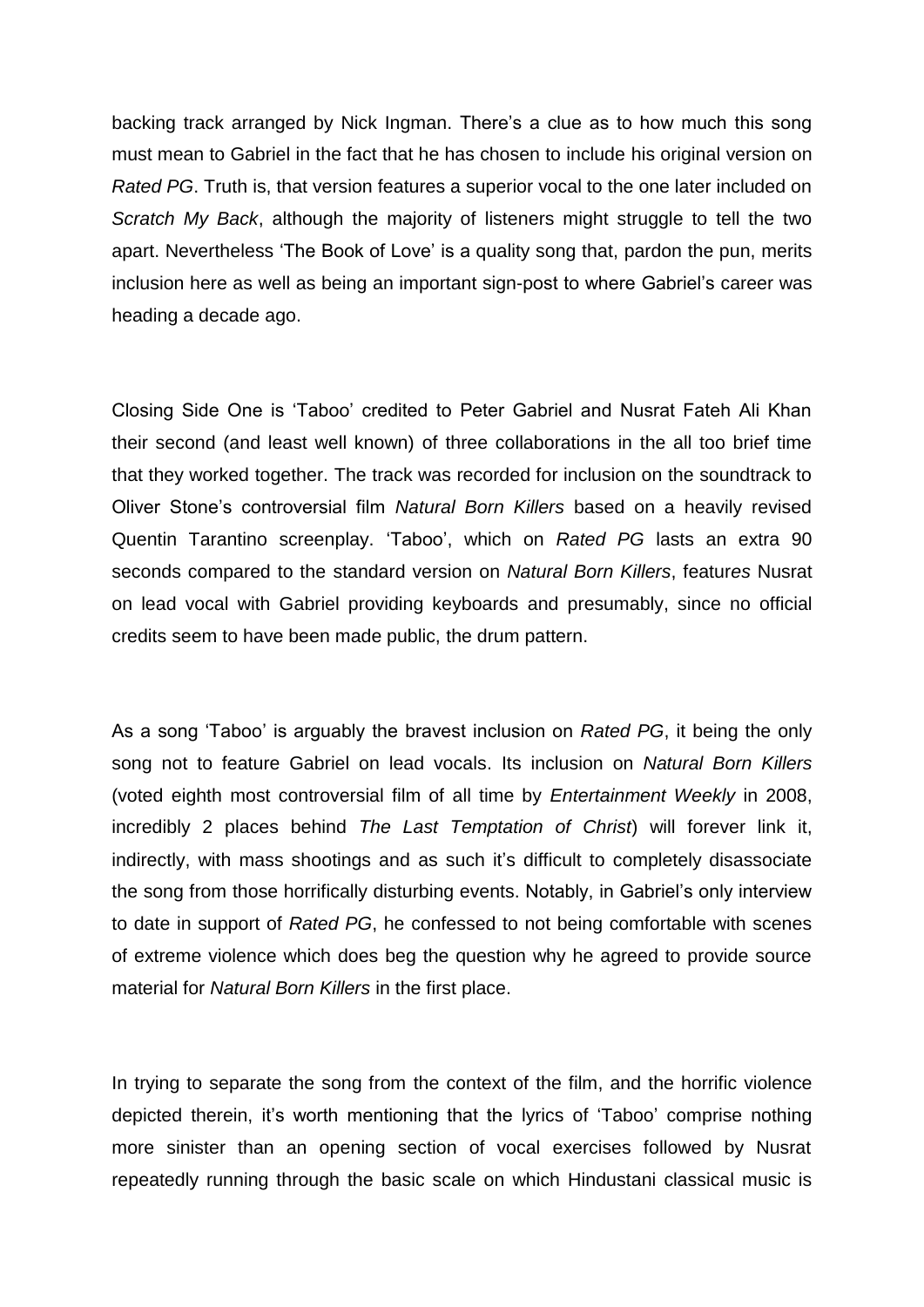backing track arranged by Nick Ingman. There's a clue as to how much this song must mean to Gabriel in the fact that he has chosen to include his original version on *Rated PG*. Truth is, that version features a superior vocal to the one later included on *Scratch My Back*, although the majority of listeners might struggle to tell the two apart. Nevertheless 'The Book of Love' is a quality song that, pardon the pun, merits inclusion here as well as being an important sign-post to where Gabriel's career was heading a decade ago.

Closing Side One is 'Taboo' credited to Peter Gabriel and Nusrat Fateh Ali Khan their second (and least well known) of three collaborations in the all too brief time that they worked together. The track was recorded for inclusion on the soundtrack to Oliver Stone's controversial film *Natural Born Killers* based on a heavily revised Quentin Tarantino screenplay. 'Taboo', which on *Rated PG* lasts an extra 90 seconds compared to the standard version on *Natural Born Killers*, featur*es* Nusrat on lead vocal with Gabriel providing keyboards and presumably, since no official credits seem to have been made public, the drum pattern.

As a song 'Taboo' is arguably the bravest inclusion on *Rated PG*, it being the only song not to feature Gabriel on lead vocals. Its inclusion on *Natural Born Killers* (voted eighth most controversial film of all time by *Entertainment Weekly* in 2008, incredibly 2 places behind *The Last Temptation of Christ*) will forever link it, indirectly, with mass shootings and as such it's difficult to completely disassociate the song from those horrifically disturbing events. Notably, in Gabriel's only interview to date in support of *Rated PG*, he confessed to not being comfortable with scenes of extreme violence which does beg the question why he agreed to provide source material for *Natural Born Killers* in the first place.

In trying to separate the song from the context of the film, and the horrific violence depicted therein, it's worth mentioning that the lyrics of 'Taboo' comprise nothing more sinister than an opening section of vocal exercises followed by Nusrat repeatedly running through the basic scale on which Hindustani classical music is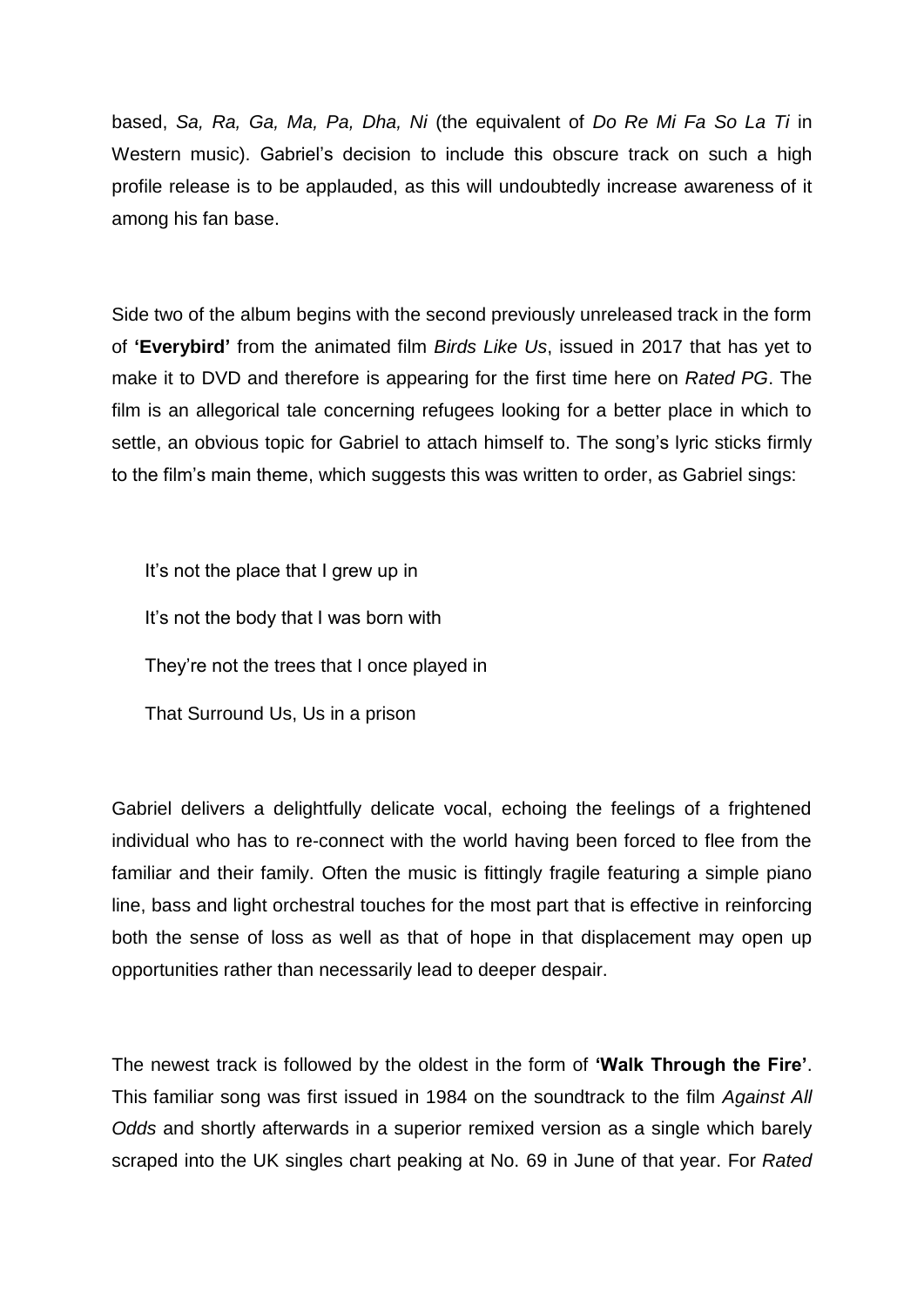based, *Sa, Ra, Ga, Ma, Pa, Dha, Ni* (the equivalent of *Do Re Mi Fa So La Ti* in Western music). Gabriel's decision to include this obscure track on such a high profile release is to be applauded, as this will undoubtedly increase awareness of it among his fan base.

Side two of the album begins with the second previously unreleased track in the form of **'Everybird'** from the animated film *Birds Like Us*, issued in 2017 that has yet to make it to DVD and therefore is appearing for the first time here on *Rated PG*. The film is an allegorical tale concerning refugees looking for a better place in which to settle, an obvious topic for Gabriel to attach himself to. The song's lyric sticks firmly to the film's main theme, which suggests this was written to order, as Gabriel sings:

It's not the place that I grew up in It's not the body that I was born with They're not the trees that I once played in That Surround Us, Us in a prison

Gabriel delivers a delightfully delicate vocal, echoing the feelings of a frightened individual who has to re-connect with the world having been forced to flee from the familiar and their family. Often the music is fittingly fragile featuring a simple piano line, bass and light orchestral touches for the most part that is effective in reinforcing both the sense of loss as well as that of hope in that displacement may open up opportunities rather than necessarily lead to deeper despair.

The newest track is followed by the oldest in the form of **'Walk Through the Fire'**. This familiar song was first issued in 1984 on the soundtrack to the film *Against All Odds* and shortly afterwards in a superior remixed version as a single which barely scraped into the UK singles chart peaking at No. 69 in June of that year. For *Rated*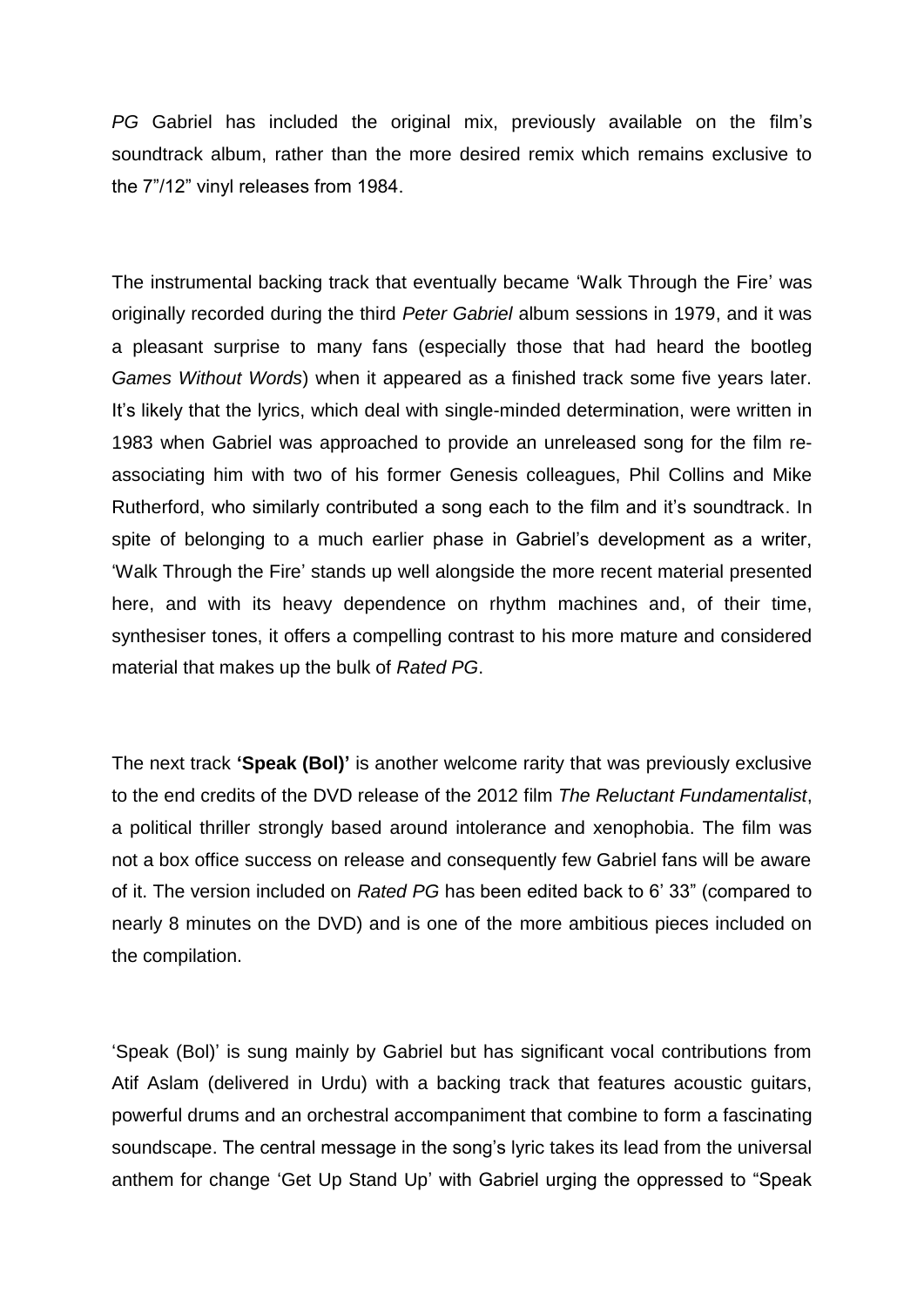*PG* Gabriel has included the original mix, previously available on the film's soundtrack album, rather than the more desired remix which remains exclusive to the 7"/12" vinyl releases from 1984.

The instrumental backing track that eventually became 'Walk Through the Fire' was originally recorded during the third *Peter Gabriel* album sessions in 1979, and it was a pleasant surprise to many fans (especially those that had heard the bootleg *Games Without Words*) when it appeared as a finished track some five years later. It's likely that the lyrics, which deal with single-minded determination, were written in 1983 when Gabriel was approached to provide an unreleased song for the film reassociating him with two of his former Genesis colleagues, Phil Collins and Mike Rutherford, who similarly contributed a song each to the film and it's soundtrack. In spite of belonging to a much earlier phase in Gabriel's development as a writer, 'Walk Through the Fire' stands up well alongside the more recent material presented here, and with its heavy dependence on rhythm machines and, of their time, synthesiser tones, it offers a compelling contrast to his more mature and considered material that makes up the bulk of *Rated PG*.

The next track **'Speak (Bol)'** is another welcome rarity that was previously exclusive to the end credits of the DVD release of the 2012 film *The Reluctant Fundamentalist*, a political thriller strongly based around intolerance and xenophobia. The film was not a box office success on release and consequently few Gabriel fans will be aware of it. The version included on *Rated PG* has been edited back to 6' 33" (compared to nearly 8 minutes on the DVD) and is one of the more ambitious pieces included on the compilation.

'Speak (Bol)' is sung mainly by Gabriel but has significant vocal contributions from Atif Aslam (delivered in Urdu) with a backing track that features acoustic guitars, powerful drums and an orchestral accompaniment that combine to form a fascinating soundscape. The central message in the song's lyric takes its lead from the universal anthem for change 'Get Up Stand Up' with Gabriel urging the oppressed to "Speak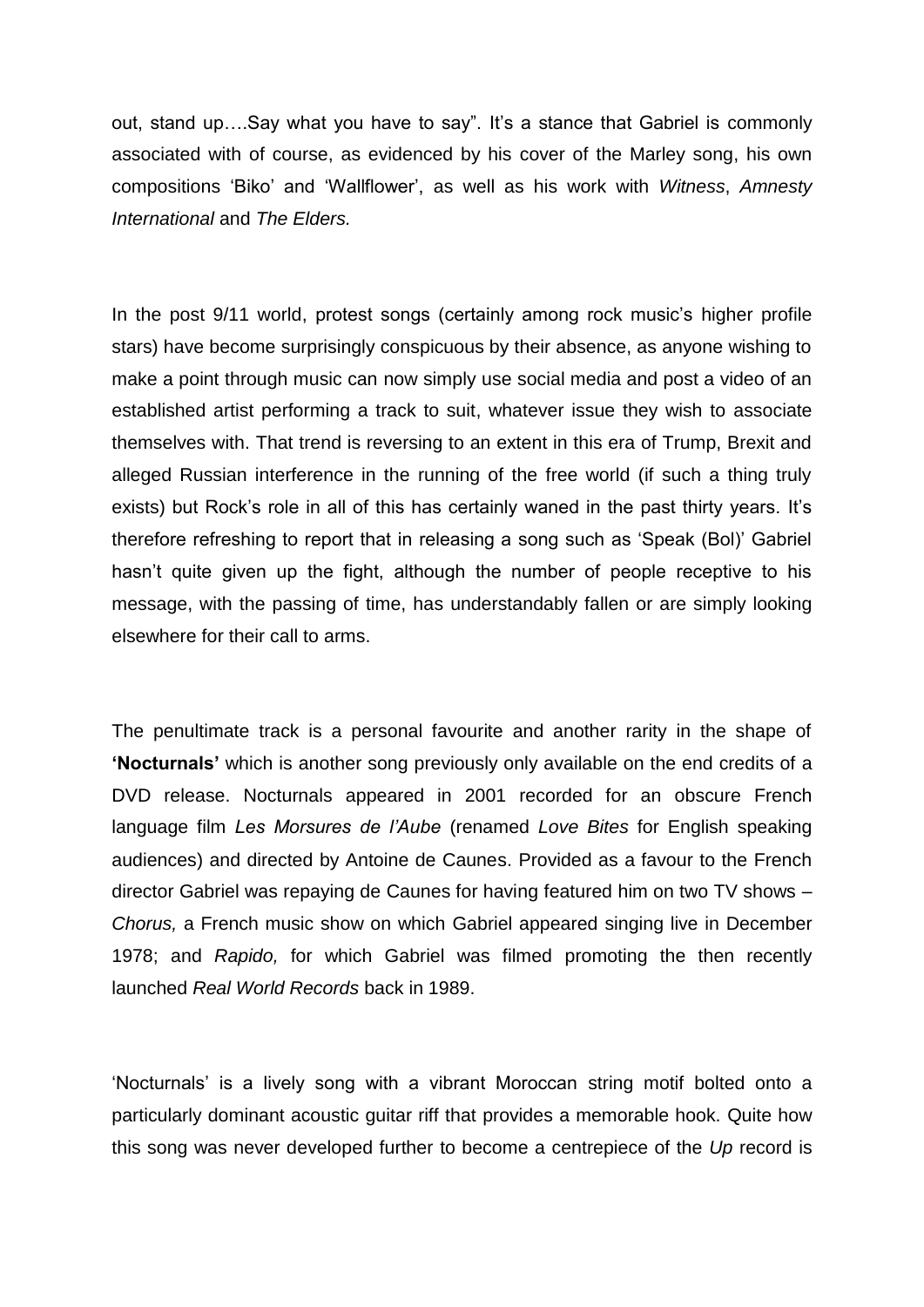out, stand up….Say what you have to say". It's a stance that Gabriel is commonly associated with of course, as evidenced by his cover of the Marley song, his own compositions 'Biko' and 'Wallflower', as well as his work with *Witness*, *Amnesty International* and *The Elders.*

In the post 9/11 world, protest songs (certainly among rock music's higher profile stars) have become surprisingly conspicuous by their absence, as anyone wishing to make a point through music can now simply use social media and post a video of an established artist performing a track to suit, whatever issue they wish to associate themselves with. That trend is reversing to an extent in this era of Trump, Brexit and alleged Russian interference in the running of the free world (if such a thing truly exists) but Rock's role in all of this has certainly waned in the past thirty years. It's therefore refreshing to report that in releasing a song such as 'Speak (Bol)' Gabriel hasn't quite given up the fight, although the number of people receptive to his message, with the passing of time, has understandably fallen or are simply looking elsewhere for their call to arms.

The penultimate track is a personal favourite and another rarity in the shape of **'Nocturnals'** which is another song previously only available on the end credits of a DVD release. Nocturnals appeared in 2001 recorded for an obscure French language film *Les Morsures de l'Aube* (renamed *Love Bites* for English speaking audiences) and directed by Antoine de Caunes. Provided as a favour to the French director Gabriel was repaying de Caunes for having featured him on two TV shows – *Chorus,* a French music show on which Gabriel appeared singing live in December 1978; and *Rapido,* for which Gabriel was filmed promoting the then recently launched *Real World Records* back in 1989.

'Nocturnals' is a lively song with a vibrant Moroccan string motif bolted onto a particularly dominant acoustic guitar riff that provides a memorable hook. Quite how this song was never developed further to become a centrepiece of the *Up* record is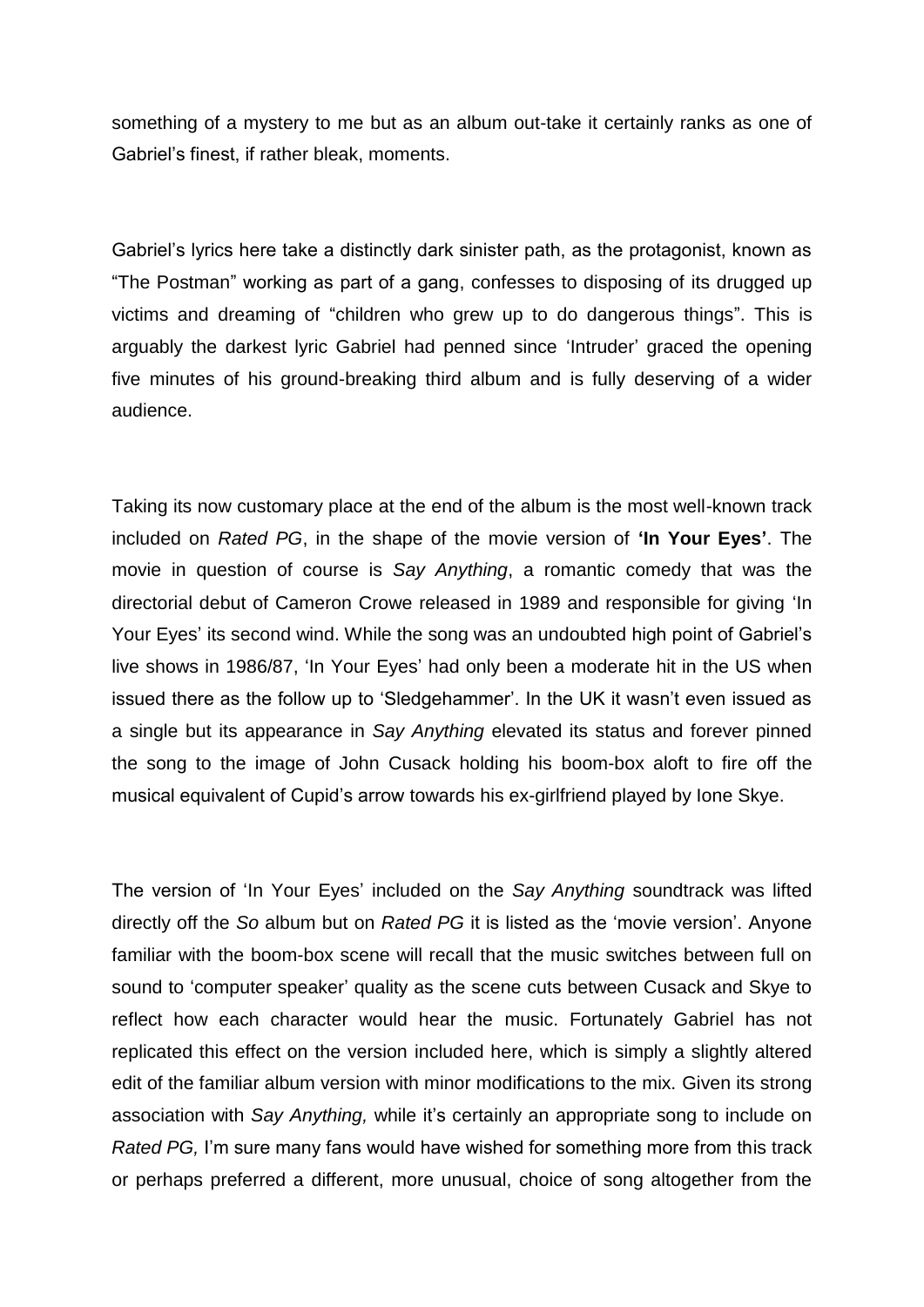something of a mystery to me but as an album out-take it certainly ranks as one of Gabriel's finest, if rather bleak, moments.

Gabriel's lyrics here take a distinctly dark sinister path, as the protagonist, known as "The Postman" working as part of a gang, confesses to disposing of its drugged up victims and dreaming of "children who grew up to do dangerous things". This is arguably the darkest lyric Gabriel had penned since 'Intruder' graced the opening five minutes of his ground-breaking third album and is fully deserving of a wider audience.

Taking its now customary place at the end of the album is the most well-known track included on *Rated PG*, in the shape of the movie version of **'In Your Eyes'**. The movie in question of course is *Say Anything*, a romantic comedy that was the directorial debut of Cameron Crowe released in 1989 and responsible for giving 'In Your Eyes' its second wind. While the song was an undoubted high point of Gabriel's live shows in 1986/87, 'In Your Eyes' had only been a moderate hit in the US when issued there as the follow up to 'Sledgehammer'. In the UK it wasn't even issued as a single but its appearance in *Say Anything* elevated its status and forever pinned the song to the image of John Cusack holding his boom-box aloft to fire off the musical equivalent of Cupid's arrow towards his ex-girlfriend played by Ione Skye.

The version of 'In Your Eyes' included on the *Say Anything* soundtrack was lifted directly off the *So* album but on *Rated PG* it is listed as the 'movie version'. Anyone familiar with the boom-box scene will recall that the music switches between full on sound to 'computer speaker' quality as the scene cuts between Cusack and Skye to reflect how each character would hear the music. Fortunately Gabriel has not replicated this effect on the version included here, which is simply a slightly altered edit of the familiar album version with minor modifications to the mix. Given its strong association with *Say Anything,* while it's certainly an appropriate song to include on *Rated PG,* I'm sure many fans would have wished for something more from this track or perhaps preferred a different, more unusual, choice of song altogether from the